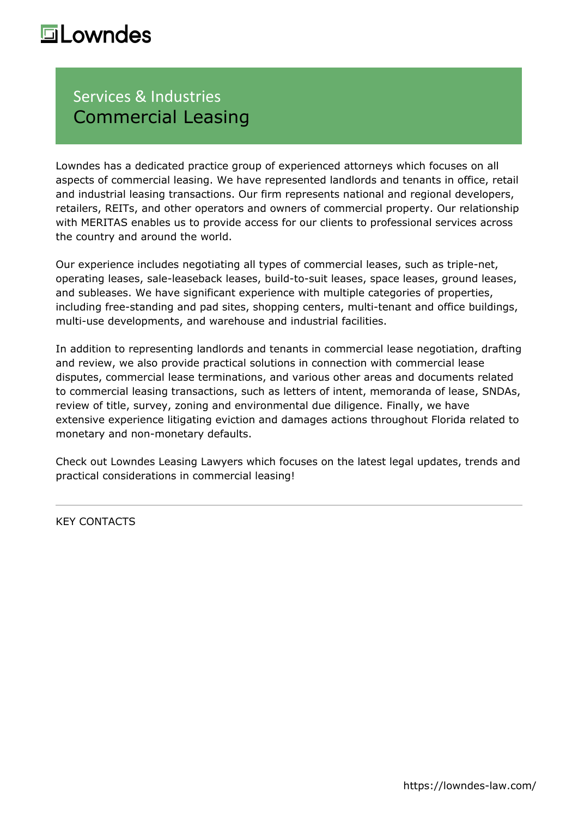## **Lowndes**

## Services & Industries Commercial Leasing

Lowndes has a dedicated practice group of experienced attorneys which focuses on all aspects of commercial leasing. We have represented landlords and tenants in office, retail and industrial leasing transactions. Our firm represents national and regional developers, retailers, REITs, and other operators and owners of commercial property. Our relationship with MERITAS enables us to provide access for our clients to professional services across the country and around the world.

Our experience includes negotiating all types of commercial leases, such as triple-net, operating leases, sale-leaseback leases, build-to-suit leases, space leases, ground leases, and subleases. We have significant experience with multiple categories of properties, including free-standing and pad sites, shopping centers, multi-tenant and office buildings, multi-use developments, and warehouse and industrial facilities.

In addition to representing landlords and tenants in commercial lease negotiation, drafting and review, we also provide practical solutions in connection with commercial lease disputes, commercial lease terminations, and various other areas and documents related to commercial leasing transactions, such as letters of intent, memoranda of lease, SNDAs, review of title, survey, zoning and environmental due diligence. Finally, we have extensive experience litigating eviction and damages actions throughout Florida related to monetary and non-monetary defaults.

Check out [Lowndes Leasing Lawyers](https://www.lowndesleasinglawyers.com/) which focuses on the latest legal updates, trends and practical considerations in commercial leasing!

KEY CONTACTS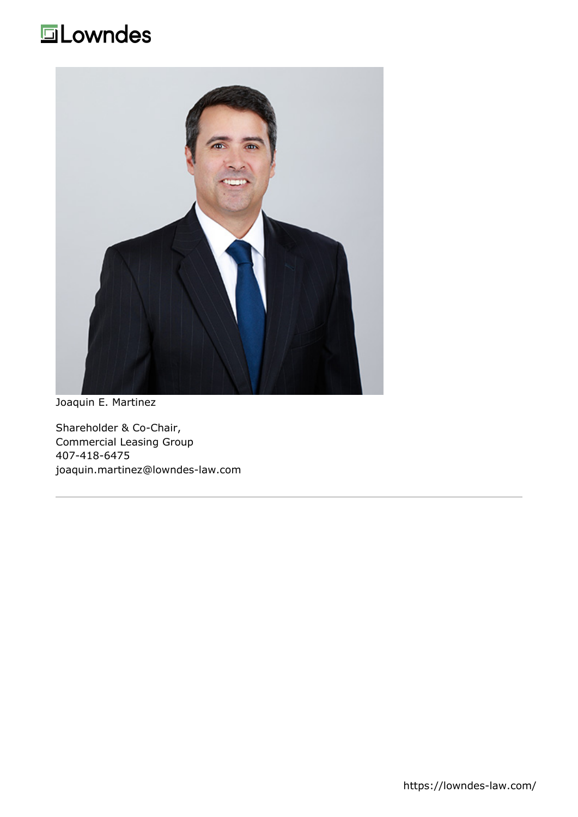## **ELowndes**



[Joaquin E. Martinez](https://lowndes-law.com/people-detail/client/joaquin-martinez)

Shareholder & Co-Chair, Commercial Leasing Group 407-418-6475 [joaquin.martinez@lowndes-law.com](mailto:joaquim.martinez@lowndes-law.com)